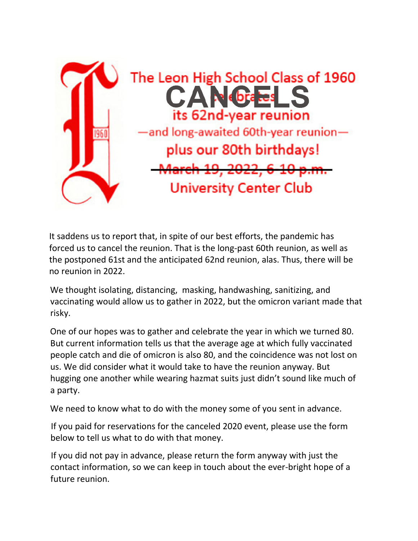

It saddens us to report that, in spite of our best efforts, the pandemic has forced us to cancel the reunion. That is the long-past 60th reunion, as well as the postponed 61st and the anticipated 62nd reunion, alas. Thus, there will be no reunion in 2022.

We thought isolating, distancing, masking, handwashing, sanitizing, and vaccinating would allow us to gather in 2022, but the omicron variant made that risky.

One of our hopes was to gather and celebrate the year in which we turned 80. But current information tells us that the average age at which fully vaccinated people catch and die of omicron is also 80, and the coincidence was not lost on us. We did consider what it would take to have the reunion anyway. But hugging one another while wearing hazmat suits just didn't sound like much of a party.

We need to know what to do with the money some of you sent in advance.

If you paid for reservations for the canceled 2020 event, please use the form below to tell us what to do with that money.

If you did not pay in advance, please return the form anyway with just the contact information, so we can keep in touch about the ever-bright hope of a future reunion.